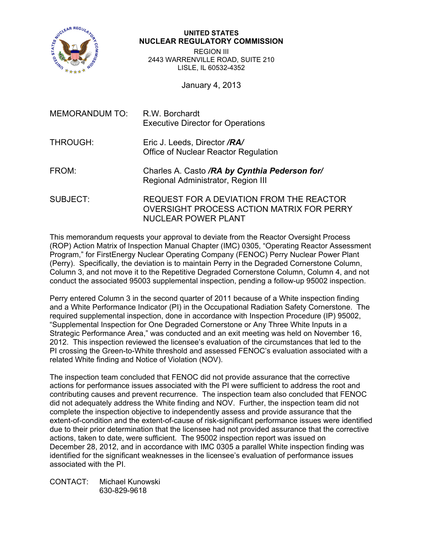

## **UNITED STATES NUCLEAR REGULATORY COMMISSION**

REGION III 2443 WARRENVILLE ROAD, SUITE 210 LISLE, IL 60532-4352

January 4, 2013

| MEMORANDUM TO: | R.W. Borchardt<br><b>Executive Director for Operations</b><br>Eric J. Leeds, Director /RA/<br>Office of Nuclear Reactor Regulation |  |  |  |
|----------------|------------------------------------------------------------------------------------------------------------------------------------|--|--|--|
| THROUGH:       |                                                                                                                                    |  |  |  |
| FROM:          | Charles A. Casto /RA by Cynthia Pederson for/<br>Regional Administrator, Region III                                                |  |  |  |
| SUBJECT:       | REQUEST FOR A DEVIATION FROM THE REACTOR<br>OVERSIGHT PROCESS ACTION MATRIX FOR PERRY<br><b>NUCLEAR POWER PLANT</b>                |  |  |  |

This memorandum requests your approval to deviate from the Reactor Oversight Process (ROP) Action Matrix of Inspection Manual Chapter (IMC) 0305, "Operating Reactor Assessment Program," for FirstEnergy Nuclear Operating Company (FENOC) Perry Nuclear Power Plant (Perry). Specifically, the deviation is to maintain Perry in the Degraded Cornerstone Column, Column 3, and not move it to the Repetitive Degraded Cornerstone Column, Column 4, and not conduct the associated 95003 supplemental inspection, pending a follow-up 95002 inspection.

Perry entered Column 3 in the second quarter of 2011 because of a White inspection finding and a White Performance Indicator (PI) in the Occupational Radiation Safety Cornerstone. The required supplemental inspection, done in accordance with Inspection Procedure (IP) 95002, "Supplemental Inspection for One Degraded Cornerstone or Any Three White Inputs in a Strategic Performance Area," was conducted and an exit meeting was held on November 16, 2012. This inspection reviewed the licensee's evaluation of the circumstances that led to the PI crossing the Green-to-White threshold and assessed FENOC's evaluation associated with a related White finding and Notice of Violation (NOV).

The inspection team concluded that FENOC did not provide assurance that the corrective actions for performance issues associated with the PI were sufficient to address the root and contributing causes and prevent recurrence. The inspection team also concluded that FENOC did not adequately address the White finding and NOV. Further, the inspection team did not complete the inspection objective to independently assess and provide assurance that the extent-of-condition and the extent-of-cause of risk-significant performance issues were identified due to their prior determination that the licensee had not provided assurance that the corrective actions, taken to date, were sufficient. The 95002 inspection report was issued on December 28, 2012, and in accordance with IMC 0305 a parallel White inspection finding was identified for the significant weaknesses in the licensee's evaluation of performance issues associated with the PI.

CONTACT: Michael Kunowski 630-829-9618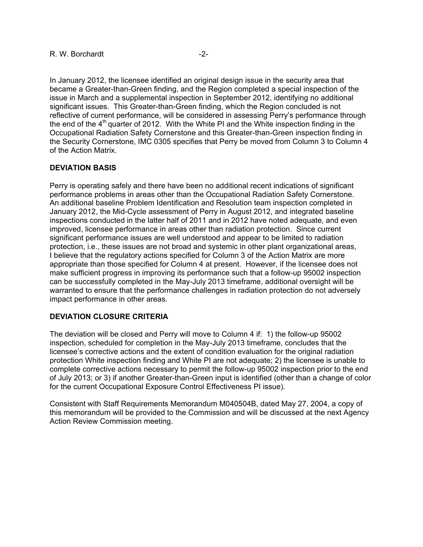In January 2012, the licensee identified an original design issue in the security area that became a Greater-than-Green finding, and the Region completed a special inspection of the issue in March and a supplemental inspection in September 2012, identifying no additional significant issues. This Greater-than-Green finding, which the Region concluded is not reflective of current performance, will be considered in assessing Perry's performance through the end of the  $4<sup>th</sup>$  quarter of 2012. With the White PI and the White inspection finding in the Occupational Radiation Safety Cornerstone and this Greater-than-Green inspection finding in the Security Cornerstone, IMC 0305 specifies that Perry be moved from Column 3 to Column 4 of the Action Matrix.

## **DEVIATION BASIS**

Perry is operating safely and there have been no additional recent indications of significant performance problems in areas other than the Occupational Radiation Safety Cornerstone. An additional baseline Problem Identification and Resolution team inspection completed in January 2012, the Mid-Cycle assessment of Perry in August 2012, and integrated baseline inspections conducted in the latter half of 2011 and in 2012 have noted adequate, and even improved, licensee performance in areas other than radiation protection. Since current significant performance issues are well understood and appear to be limited to radiation protection, i.e., these issues are not broad and systemic in other plant organizational areas, I believe that the regulatory actions specified for Column 3 of the Action Matrix are more appropriate than those specified for Column 4 at present. However, if the licensee does not make sufficient progress in improving its performance such that a follow-up 95002 inspection can be successfully completed in the May-July 2013 timeframe, additional oversight will be warranted to ensure that the performance challenges in radiation protection do not adversely impact performance in other areas.

## **DEVIATION CLOSURE CRITERIA**

The deviation will be closed and Perry will move to Column 4 if: 1) the follow-up 95002 inspection, scheduled for completion in the May-July 2013 timeframe, concludes that the licensee's corrective actions and the extent of condition evaluation for the original radiation protection White inspection finding and White PI are not adequate; 2) the licensee is unable to complete corrective actions necessary to permit the follow-up 95002 inspection prior to the end of July 2013; or 3) if another Greater-than-Green input is identified (other than a change of color for the current Occupational Exposure Control Effectiveness PI issue).

Consistent with Staff Requirements Memorandum M040504B, dated May 27, 2004, a copy of this memorandum will be provided to the Commission and will be discussed at the next Agency Action Review Commission meeting.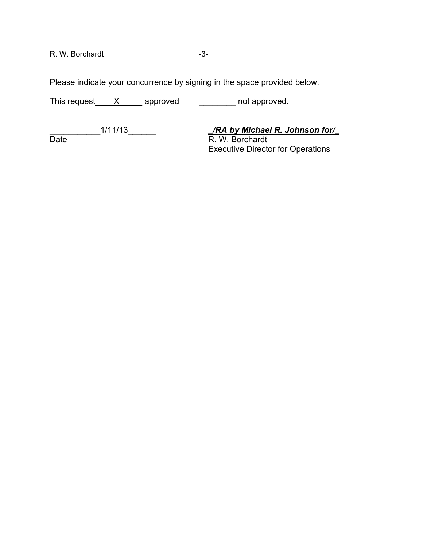R. W. Borchardt -3-

Please indicate your concurrence by signing in the space provided below.

This request\_\_\_\_X\_\_\_\_\_ approved \_\_\_\_\_\_\_\_\_\_ not approved.

\_\_\_\_\_\_\_\_\_\_\_1/11/13\_\_\_\_\_\_ *\_/RA by Michael R. Johnson for/\_*

R. W. Borchardt Executive Director for Operations